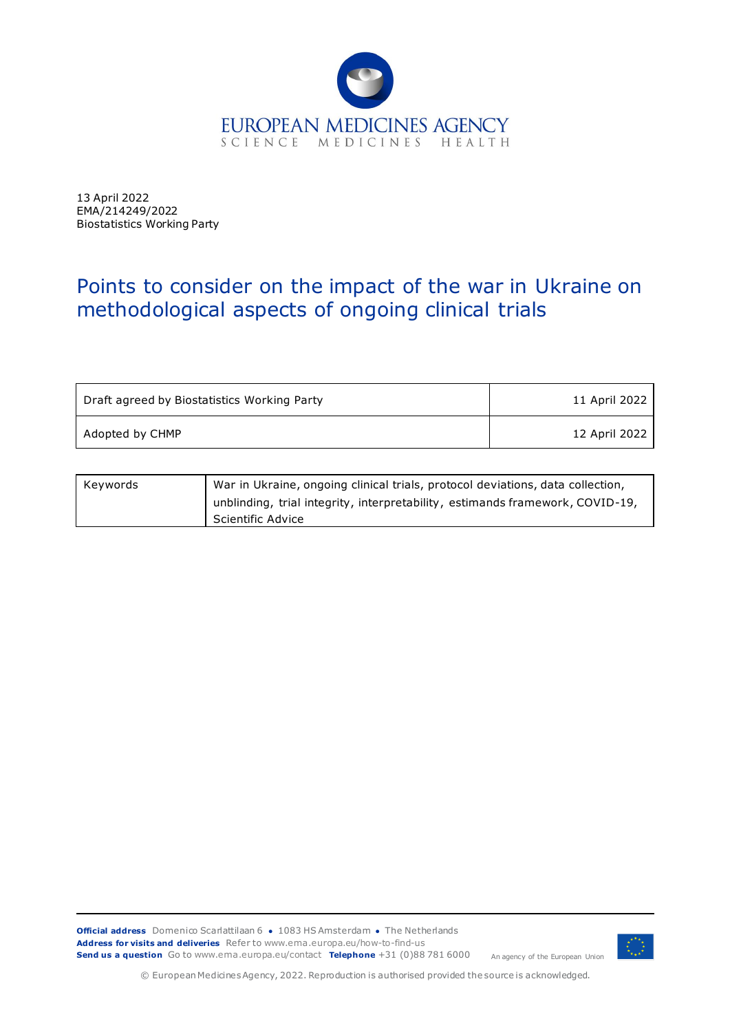

13 April 2022 EMA/214249/2022 Biostatistics Working Party

## Points to consider on the impact of the war in Ukraine on methodological aspects of ongoing clinical trials

| Draft agreed by Biostatistics Working Party | 11 April 2022 |
|---------------------------------------------|---------------|
| Adopted by CHMP                             | 12 April 2022 |

| Kevwords | War in Ukraine, ongoing clinical trials, protocol deviations, data collection, |
|----------|--------------------------------------------------------------------------------|
|          | unblinding, trial integrity, interpretability, estimands framework, COVID-19,  |
|          | Scientific Advice                                                              |



© European Medicines Agency, 2022. Reproduction is authorised provided the source is acknowledged.